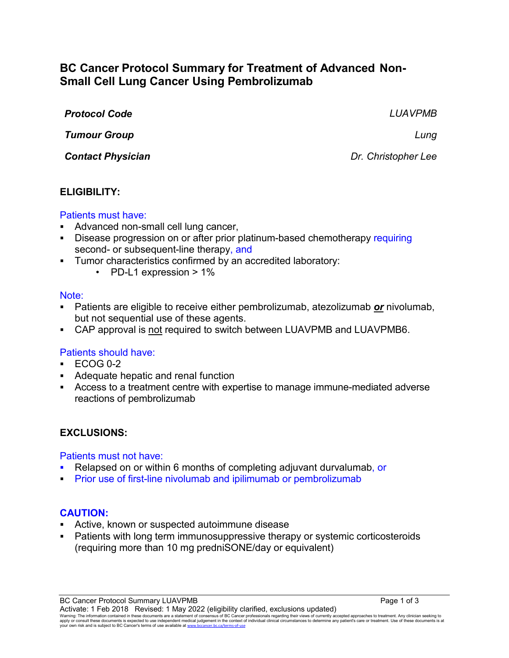# **BC Cancer Protocol Summary for Treatment of Advanced Non-Small Cell Lung Cancer Using Pembrolizumab**

| <b>Protocol Code</b>     | <b>LUAVPMB</b>      |
|--------------------------|---------------------|
| <b>Tumour Group</b>      | Lung                |
| <b>Contact Physician</b> | Dr. Christopher Lee |

### **ELIGIBILITY:**

#### Patients must have:

- Advanced non-small cell lung cancer,
- Disease progression on or after prior platinum-based chemotherapy requiring second- or subsequent-line therapy, and
- Tumor characteristics confirmed by an accredited laboratory:
	- PD-L1 expression > 1%

#### Note:

- Patients are eligible to receive either pembrolizumab, atezolizumab *or* nivolumab, but not sequential use of these agents.
- CAP approval is not required to switch between LUAVPMB and LUAVPMB6.

### Patients should have:

- $\text{-}$  ECOG 0-2
- Adequate hepatic and renal function
- Access to a treatment centre with expertise to manage immune-mediated adverse reactions of pembrolizumab

### **EXCLUSIONS:**

#### Patients must not have:

- Relapsed on or within 6 months of completing adjuvant durvalumab, or
- Prior use of first-line nivolumab and ipilimumab or pembrolizumab

### **CAUTION:**

- Active, known or suspected autoimmune disease
- Patients with long term immunosuppressive therapy or systemic corticosteroids (requiring more than 10 mg predniSONE/day or equivalent)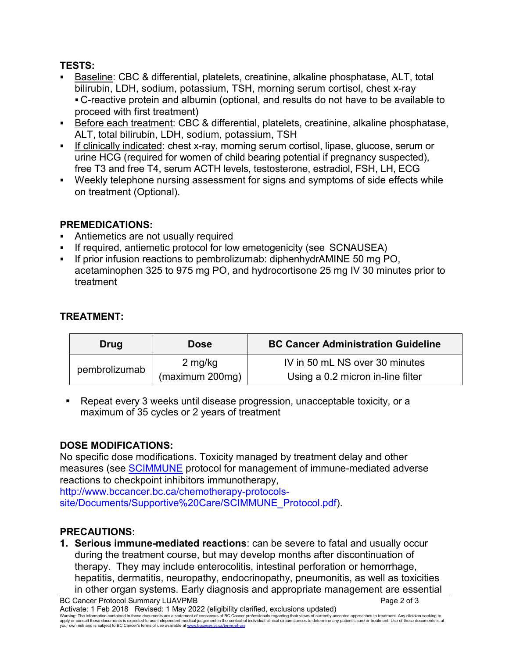# **TESTS:**

- Baseline: CBC & differential, platelets, creatinine, alkaline phosphatase, ALT, total bilirubin, LDH, sodium, potassium, TSH, morning serum cortisol, chest x-ray C-reactive protein and albumin (optional, and results do not have to be available to proceed with first treatment)
- Before each treatment: CBC & differential, platelets, creatinine, alkaline phosphatase, ALT, total bilirubin, LDH, sodium, potassium, TSH
- If clinically indicated: chest x-ray, morning serum cortisol, lipase, glucose, serum or urine HCG (required for women of child bearing potential if pregnancy suspected), free T3 and free T4, serum ACTH levels, testosterone, estradiol, FSH, LH, ECG
- Weekly telephone nursing assessment for signs and symptoms of side effects while on treatment (Optional).

# **PREMEDICATIONS:**

- Antiemetics are not usually required
- If required, antiemetic protocol for low emetogenicity (see SCNAUSEA)
- If prior infusion reactions to pembrolizumab: diphenhydrAMINE 50 mg PO, acetaminophen 325 to 975 mg PO, and hydrocortisone 25 mg IV 30 minutes prior to treatment

# **TREATMENT:**

| Drug          | <b>Dose</b>     | <b>BC Cancer Administration Guideline</b> |
|---------------|-----------------|-------------------------------------------|
| pembrolizumab | 2 mg/kg         | IV in 50 mL NS over 30 minutes            |
|               | (maximum 200mg) | Using a 0.2 micron in-line filter         |

 Repeat every 3 weeks until disease progression, unacceptable toxicity, or a maximum of 35 cycles or 2 years of treatment

# **DOSE MODIFICATIONS:**

No specific dose modifications. Toxicity managed by treatment delay and other measures (see [SCIMMUNE](http://www.bccancer.bc.ca/chemotherapy-protocols-site/Documents/Supportive%20Care/SCIMMUNE_Protocol.pdf) protocol for management of immune-mediated adverse reactions to checkpoint inhibitors immunotherapy,

http://www.bccancer.bc.ca/chemotherapy-protocols-

site/Documents/Supportive%20Care/SCIMMUNE\_Protocol.pdf).

### **PRECAUTIONS:**

**1. Serious immune-mediated reactions**: can be severe to fatal and usually occur during the treatment course, but may develop months after discontinuation of therapy. They may include enterocolitis, intestinal perforation or hemorrhage, hepatitis, dermatitis, neuropathy, endocrinopathy, pneumonitis, as well as toxicities in other organ systems. Early diagnosis and appropriate management are essential

BC Cancer Protocol Summary LUAVPMB Page 2 of 3 Activate: 1 Feb 2018 Revised: 1 May 2022 (eligibility clarified, exclusions updated) Warning: The information contained in these documents are a statement of consensus of BC Cancer professionals regarding their views of currently accepted approaches to treatment. Any clinician seeking to<br>apply or consult t